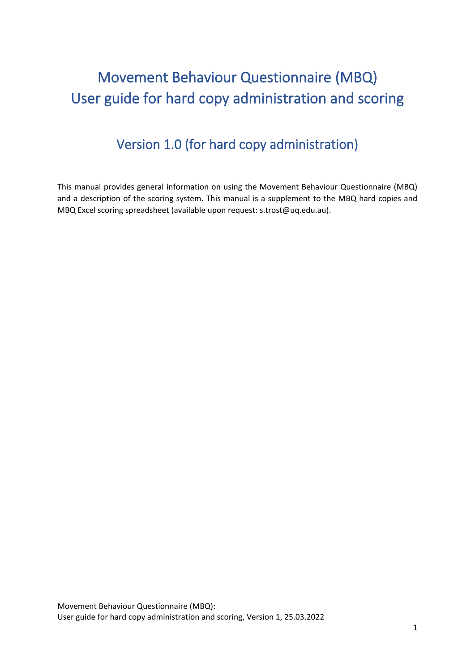# Movement Behaviour Questionnaire (MBQ) User guide for hard copy administration and scoring

### Version 1.0 (for hard copy administration)

This manual provides general information on using the Movement Behaviour Questionnaire (MBQ) and a description of the scoring system. This manual is a supplement to the MBQ hard copies and MBQ Excel scoring spreadsheet (available upon request: s.trost@uq.edu.au).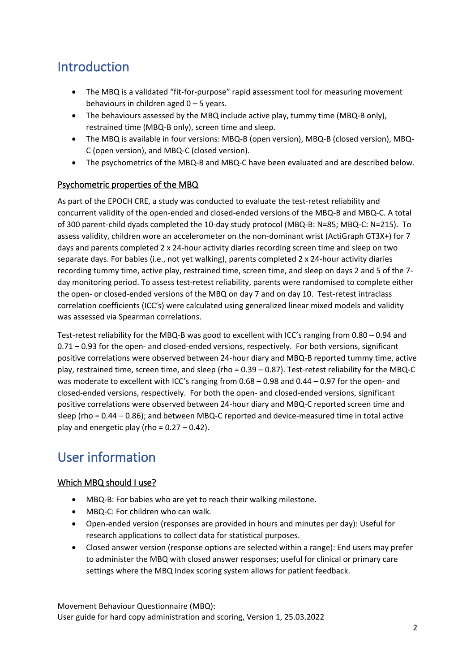### Introduction

- The MBQ is a validated "fit-for-purpose" rapid assessment tool for measuring movement behaviours in children aged 0 – 5 years.
- The behaviours assessed by the MBQ include active play, tummy time (MBQ-B only), restrained time (MBQ-B only), screen time and sleep.
- The MBQ is available in four versions: MBQ-B (open version), MBQ-B (closed version), MBQ-C (open version), and MBQ-C (closed version).
- The psychometrics of the MBQ-B and MBQ-C have been evaluated and are described below.

### Psychometric properties of the MBQ

As part of the EPOCH CRE, a study was conducted to evaluate the test-retest reliability and concurrent validity of the open-ended and closed-ended versions of the MBQ-B and MBQ-C. A total of 300 parent-child dyads completed the 10-day study protocol (MBQ-B: N=85; MBQ-C: N=215). To assess validity, children wore an accelerometer on the non-dominant wrist (ActiGraph GT3X+) for 7 days and parents completed 2 x 24-hour activity diaries recording screen time and sleep on two separate days. For babies (i.e., not yet walking), parents completed 2 x 24-hour activity diaries recording tummy time, active play, restrained time, screen time, and sleep on days 2 and 5 of the 7 day monitoring period. To assess test-retest reliability, parents were randomised to complete either the open- or closed-ended versions of the MBQ on day 7 and on day 10. Test-retest intraclass correlation coefficients (ICC's) were calculated using generalized linear mixed models and validity was assessed via Spearman correlations.

Test-retest reliability for the MBQ-B was good to excellent with ICC's ranging from 0.80 – 0.94 and 0.71 – 0.93 for the open- and closed-ended versions, respectively. For both versions, significant positive correlations were observed between 24-hour diary and MBQ-B reported tummy time, active play, restrained time, screen time, and sleep (rho = 0.39 – 0.87). Test-retest reliability for the MBQ-C was moderate to excellent with ICC's ranging from  $0.68 - 0.98$  and  $0.44 - 0.97$  for the open- and closed-ended versions, respectively. For both the open- and closed-ended versions, significant positive correlations were observed between 24-hour diary and MBQ-C reported screen time and sleep (rho = 0.44 – 0.86); and between MBQ-C reported and device-measured time in total active play and energetic play (rho =  $0.27 - 0.42$ ).

### User information

### Which MBQ should I use?

- MBQ-B: For babies who are yet to reach their walking milestone.
- MBQ-C: For children who can walk.
- Open-ended version (responses are provided in hours and minutes per day): Useful for research applications to collect data for statistical purposes.
- Closed answer version (response options are selected within a range): End users may prefer to administer the MBQ with closed answer responses; useful for clinical or primary care settings where the MBQ Index scoring system allows for patient feedback.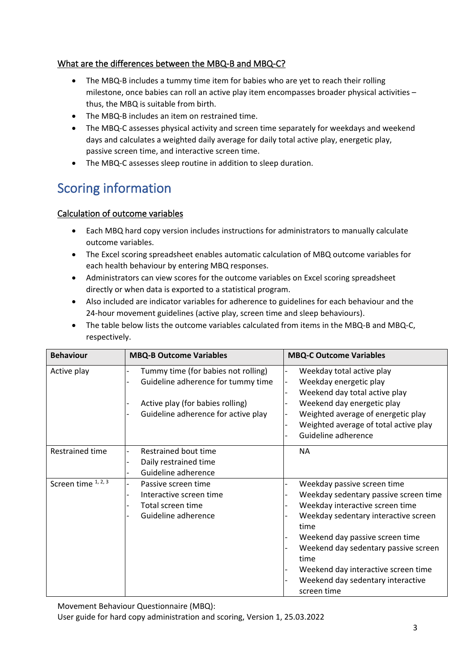### What are the differences between the MBQ-B and MBQ-C?

- The MBQ-B includes a tummy time item for babies who are yet to reach their rolling milestone, once babies can roll an active play item encompasses broader physical activities – thus, the MBQ is suitable from birth.
- The MBQ-B includes an item on restrained time.
- The MBQ-C assesses physical activity and screen time separately for weekdays and weekend days and calculates a weighted daily average for daily total active play, energetic play, passive screen time, and interactive screen time.
- The MBQ-C assesses sleep routine in addition to sleep duration.

### Scoring information

#### Calculation of outcome variables

- Each MBQ hard copy version includes instructions for administrators to manually calculate outcome variables.
- The Excel scoring spreadsheet enables automatic calculation of MBQ outcome variables for each health behaviour by entering MBQ responses.
- Administrators can view scores for the outcome variables on Excel scoring spreadsheet directly or when data is exported to a statistical program.
- Also included are indicator variables for adherence to guidelines for each behaviour and the 24-hour movement guidelines (active play, screen time and sleep behaviours).
- The table below lists the outcome variables calculated from items in the MBQ-B and MBQ-C, respectively.

| <b>Behaviour</b>    | <b>MBQ-B Outcome Variables</b>                                                                                                                       | <b>MBQ-C Outcome Variables</b>                                                                                                                                                                                                                                                                                                        |
|---------------------|------------------------------------------------------------------------------------------------------------------------------------------------------|---------------------------------------------------------------------------------------------------------------------------------------------------------------------------------------------------------------------------------------------------------------------------------------------------------------------------------------|
| Active play         | Tummy time (for babies not rolling)<br>Guideline adherence for tummy time<br>Active play (for babies rolling)<br>Guideline adherence for active play | Weekday total active play<br>Weekday energetic play<br>Weekend day total active play<br>Weekend day energetic play<br>Weighted average of energetic play<br>Weighted average of total active play<br>Guideline adherence                                                                                                              |
| Restrained time     | Restrained bout time<br>Daily restrained time<br>Guideline adherence                                                                                 | <b>NA</b>                                                                                                                                                                                                                                                                                                                             |
| Screen time 1, 2, 3 | Passive screen time<br>Interactive screen time<br>-<br>Total screen time<br>Guideline adherence                                                      | Weekday passive screen time<br>Weekday sedentary passive screen time<br>Weekday interactive screen time<br>Weekday sedentary interactive screen<br>time<br>Weekend day passive screen time<br>Weekend day sedentary passive screen<br>time<br>Weekend day interactive screen time<br>Weekend day sedentary interactive<br>screen time |

Movement Behaviour Questionnaire (MBQ):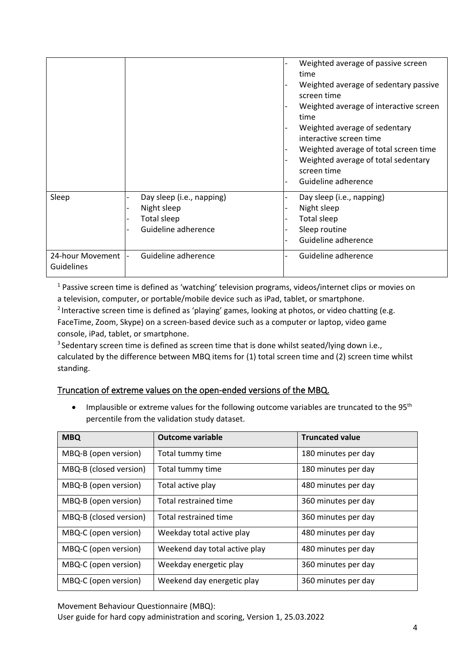|                                       |                                                                                                  | Weighted average of passive screen<br>time<br>Weighted average of sedentary passive<br>screen time<br>Weighted average of interactive screen<br>time<br>Weighted average of sedentary<br>interactive screen time<br>Weighted average of total screen time<br>Weighted average of total sedentary<br>screen time<br>Guideline adherence |
|---------------------------------------|--------------------------------------------------------------------------------------------------|----------------------------------------------------------------------------------------------------------------------------------------------------------------------------------------------------------------------------------------------------------------------------------------------------------------------------------------|
| Sleep                                 | Day sleep (i.e., napping)<br>$\overline{a}$<br>Night sleep<br>Total sleep<br>Guideline adherence | Day sleep (i.e., napping)<br>Night sleep<br>Total sleep<br>Sleep routine<br>Guideline adherence                                                                                                                                                                                                                                        |
| 24-hour Movement<br><b>Guidelines</b> | Guideline adherence                                                                              | Guideline adherence                                                                                                                                                                                                                                                                                                                    |

<sup>1</sup> Passive screen time is defined as 'watching' television programs, videos/internet clips or movies on a television, computer, or portable/mobile device such as iPad, tablet, or smartphone.

<sup>2</sup> Interactive screen time is defined as 'playing' games, looking at photos, or video chatting (e.g. FaceTime, Zoom, Skype) on a screen-based device such as a computer or laptop, video game console, iPad, tablet, or smartphone.

<sup>3</sup> Sedentary screen time is defined as screen time that is done whilst seated/lying down i.e., calculated by the difference between MBQ items for (1) total screen time and (2) screen time whilst standing.

#### Truncation of extreme values on the open-ended versions of the MBQ.

• Implausible or extreme values for the following outcome variables are truncated to the 95<sup>th</sup> percentile from the validation study dataset.

| <b>MBQ</b>             | <b>Outcome variable</b>       | <b>Truncated value</b> |
|------------------------|-------------------------------|------------------------|
| MBQ-B (open version)   | Total tummy time              | 180 minutes per day    |
| MBQ-B (closed version) | Total tummy time              | 180 minutes per day    |
| MBQ-B (open version)   | Total active play             | 480 minutes per day    |
| MBQ-B (open version)   | Total restrained time         | 360 minutes per day    |
| MBQ-B (closed version) | Total restrained time         | 360 minutes per day    |
| MBQ-C (open version)   | Weekday total active play     | 480 minutes per day    |
| MBQ-C (open version)   | Weekend day total active play | 480 minutes per day    |
| MBQ-C (open version)   | Weekday energetic play        | 360 minutes per day    |
| MBQ-C (open version)   | Weekend day energetic play    | 360 minutes per day    |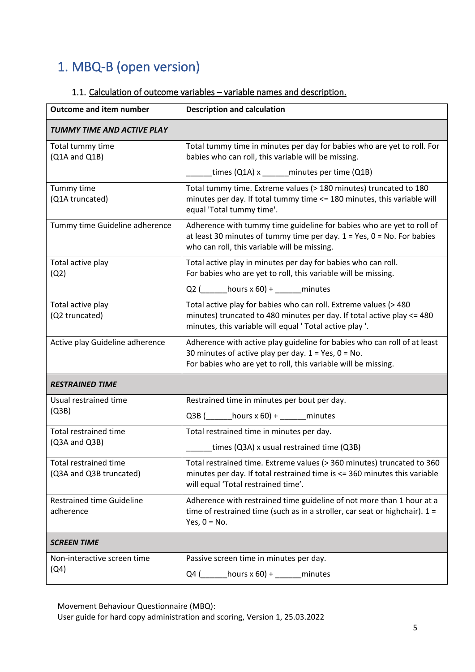## 1. MBQ-B (open version)

### 1.1. Calculation of outcome variables – variable names and description.

| <b>Outcome and item number</b>                          | <b>Description and calculation</b>                                                                                                                                                                      |  |
|---------------------------------------------------------|---------------------------------------------------------------------------------------------------------------------------------------------------------------------------------------------------------|--|
| TUMMY TIME AND ACTIVE PLAY                              |                                                                                                                                                                                                         |  |
| Total tummy time<br>$(Q1A$ and $Q1B)$                   | Total tummy time in minutes per day for babies who are yet to roll. For<br>babies who can roll, this variable will be missing.                                                                          |  |
|                                                         | times (Q1A) x ______minutes per time (Q1B)                                                                                                                                                              |  |
| Tummy time<br>(Q1A truncated)                           | Total tummy time. Extreme values (> 180 minutes) truncated to 180<br>minutes per day. If total tummy time <= 180 minutes, this variable will<br>equal 'Total tummy time'.                               |  |
| Tummy time Guideline adherence                          | Adherence with tummy time guideline for babies who are yet to roll of<br>at least 30 minutes of tummy time per day. $1 = Yes$ , $0 = No$ . For babies<br>who can roll, this variable will be missing.   |  |
| Total active play<br>(Q2)                               | Total active play in minutes per day for babies who can roll.<br>For babies who are yet to roll, this variable will be missing.                                                                         |  |
|                                                         | Q2 $($ hours x 60) + _ minutes                                                                                                                                                                          |  |
| Total active play<br>(Q2 truncated)                     | Total active play for babies who can roll. Extreme values (> 480<br>minutes) truncated to 480 minutes per day. If total active play <= 480<br>minutes, this variable will equal ' Total active play '.  |  |
| Active play Guideline adherence                         | Adherence with active play guideline for babies who can roll of at least<br>30 minutes of active play per day. $1 = Yes$ , $0 = No$ .<br>For babies who are yet to roll, this variable will be missing. |  |
| <b>RESTRAINED TIME</b>                                  |                                                                                                                                                                                                         |  |
| Usual restrained time                                   | Restrained time in minutes per bout per day.                                                                                                                                                            |  |
| (Q3B)                                                   | Q3B $($ hours x 60) + ______ minutes                                                                                                                                                                    |  |
| Total restrained time                                   | Total restrained time in minutes per day.                                                                                                                                                               |  |
| (Q3A and Q3B)                                           | times (Q3A) x usual restrained time (Q3B)                                                                                                                                                               |  |
| <b>Total restrained time</b><br>(Q3A and Q3B truncated) | Total restrained time. Extreme values (> 360 minutes) truncated to 360<br>minutes per day. If total restrained time is <= 360 minutes this variable<br>will equal 'Total restrained time'.              |  |
| <b>Restrained time Guideline</b><br>adherence           | Adherence with restrained time guideline of not more than 1 hour at a<br>time of restrained time (such as in a stroller, car seat or highchair). $1 =$<br>Yes, $0 = No$ .                               |  |
| <b>SCREEN TIME</b>                                      |                                                                                                                                                                                                         |  |
| Non-interactive screen time                             | Passive screen time in minutes per day.                                                                                                                                                                 |  |
| (Q4)                                                    | hours $x$ 60) +<br>Q4 (<br>minutes                                                                                                                                                                      |  |

Movement Behaviour Questionnaire (MBQ):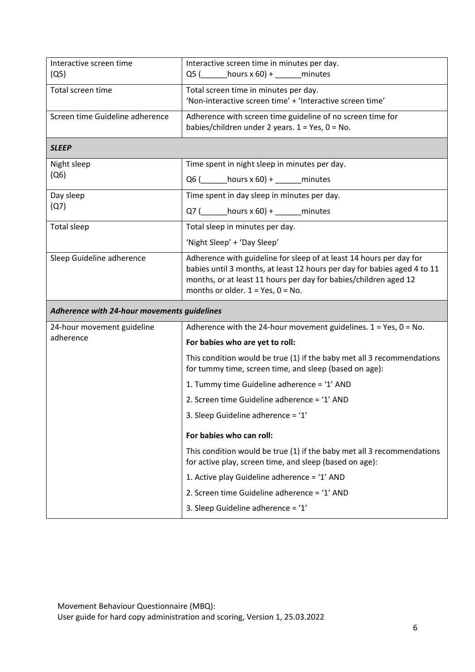| Interactive screen time<br>(Q5)             | Interactive screen time in minutes per day.<br>$Q5$ (hours x 60) + minutes                                                                                                                                                                                     |
|---------------------------------------------|----------------------------------------------------------------------------------------------------------------------------------------------------------------------------------------------------------------------------------------------------------------|
| Total screen time                           | Total screen time in minutes per day.<br>'Non-interactive screen time' + 'Interactive screen time'                                                                                                                                                             |
| Screen time Guideline adherence             | Adherence with screen time guideline of no screen time for<br>babies/children under 2 years. $1 = Yes$ , $0 = No$ .                                                                                                                                            |
| <b>SLEEP</b>                                |                                                                                                                                                                                                                                                                |
| Night sleep                                 | Time spent in night sleep in minutes per day.                                                                                                                                                                                                                  |
| (Q6)                                        | $Q6$ ( _______ hours x 60) + ______ minutes                                                                                                                                                                                                                    |
| Day sleep                                   | Time spent in day sleep in minutes per day.                                                                                                                                                                                                                    |
| (Q7)                                        | Q7 $\frac{1}{2}$ hours x 60) + _______ minutes                                                                                                                                                                                                                 |
| Total sleep                                 | Total sleep in minutes per day.                                                                                                                                                                                                                                |
|                                             | 'Night Sleep' + 'Day Sleep'                                                                                                                                                                                                                                    |
| Sleep Guideline adherence                   | Adherence with guideline for sleep of at least 14 hours per day for<br>babies until 3 months, at least 12 hours per day for babies aged 4 to 11<br>months, or at least 11 hours per day for babies/children aged 12<br>months or older. $1 = Yes$ , $0 = No$ . |
| Adherence with 24-hour movements guidelines |                                                                                                                                                                                                                                                                |
| 24-hour movement guideline                  | Adherence with the 24-hour movement guidelines. $1 = Yes$ , $0 = No$ .                                                                                                                                                                                         |
| adherence                                   | For babies who are yet to roll:                                                                                                                                                                                                                                |
|                                             | This condition would be true (1) if the baby met all 3 recommendations<br>for tummy time, screen time, and sleep (based on age):                                                                                                                               |
|                                             | 1. Tummy time Guideline adherence = '1' AND                                                                                                                                                                                                                    |
|                                             | 2. Screen time Guideline adherence = '1' AND                                                                                                                                                                                                                   |
|                                             | 3. Sleep Guideline adherence = '1'                                                                                                                                                                                                                             |
|                                             | For babies who can roll:                                                                                                                                                                                                                                       |
|                                             | This condition would be true (1) if the baby met all 3 recommendations<br>for active play, screen time, and sleep (based on age):                                                                                                                              |
|                                             | 1. Active play Guideline adherence = '1' AND                                                                                                                                                                                                                   |
|                                             |                                                                                                                                                                                                                                                                |
|                                             | 2. Screen time Guideline adherence = '1' AND                                                                                                                                                                                                                   |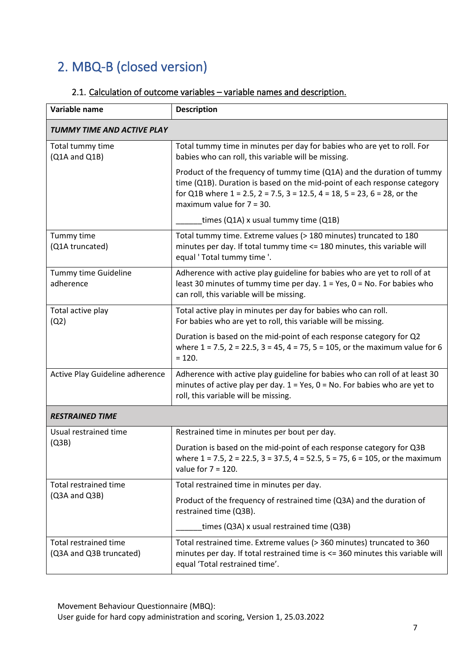# 2. MBQ-B (closed version)

| 2.1. Calculation of outcome variables - variable names and description. |  |
|-------------------------------------------------------------------------|--|
|-------------------------------------------------------------------------|--|

| Variable name                                    | <b>Description</b>                                                                                                                                                                                                                                                               |  |
|--------------------------------------------------|----------------------------------------------------------------------------------------------------------------------------------------------------------------------------------------------------------------------------------------------------------------------------------|--|
| TUMMY TIME AND ACTIVE PLAY                       |                                                                                                                                                                                                                                                                                  |  |
| Total tummy time<br>(Q1A and Q1B)                | Total tummy time in minutes per day for babies who are yet to roll. For<br>babies who can roll, this variable will be missing.                                                                                                                                                   |  |
|                                                  | Product of the frequency of tummy time (Q1A) and the duration of tummy<br>time (Q1B). Duration is based on the mid-point of each response category<br>for Q1B where $1 = 2.5$ , $2 = 7.5$ , $3 = 12.5$ , $4 = 18$ , $5 = 23$ , $6 = 28$ , or the<br>maximum value for $7 = 30$ . |  |
|                                                  | times (Q1A) x usual tummy time (Q1B)                                                                                                                                                                                                                                             |  |
| Tummy time<br>(Q1A truncated)                    | Total tummy time. Extreme values (> 180 minutes) truncated to 180<br>minutes per day. If total tummy time <= 180 minutes, this variable will<br>equal ' Total tummy time '.                                                                                                      |  |
| Tummy time Guideline<br>adherence                | Adherence with active play guideline for babies who are yet to roll of at<br>least 30 minutes of tummy time per day. $1 = Yes$ , $0 = No$ . For babies who<br>can roll, this variable will be missing.                                                                           |  |
| Total active play<br>(Q2)                        | Total active play in minutes per day for babies who can roll.<br>For babies who are yet to roll, this variable will be missing.                                                                                                                                                  |  |
|                                                  | Duration is based on the mid-point of each response category for Q2<br>where $1 = 7.5$ , $2 = 22.5$ , $3 = 45$ , $4 = 75$ , $5 = 105$ , or the maximum value for 6<br>$= 120.$                                                                                                   |  |
| Active Play Guideline adherence                  | Adherence with active play guideline for babies who can roll of at least 30<br>minutes of active play per day. $1 = Yes$ , $0 = No$ . For babies who are yet to<br>roll, this variable will be missing.                                                                          |  |
| <b>RESTRAINED TIME</b>                           |                                                                                                                                                                                                                                                                                  |  |
| Usual restrained time                            | Restrained time in minutes per bout per day.                                                                                                                                                                                                                                     |  |
| (Q3B)                                            | Duration is based on the mid-point of each response category for Q3B<br>where $1 = 7.5$ , $2 = 22.5$ , $3 = 37.5$ , $4 = 52.5$ , $5 = 75$ , $6 = 105$ , or the maximum<br>value for $7 = 120$ .                                                                                  |  |
| Total restrained time                            | Total restrained time in minutes per day.                                                                                                                                                                                                                                        |  |
| (Q3A and Q3B)                                    | Product of the frequency of restrained time (Q3A) and the duration of<br>restrained time (Q3B).                                                                                                                                                                                  |  |
|                                                  | times (Q3A) x usual restrained time (Q3B)                                                                                                                                                                                                                                        |  |
| Total restrained time<br>(Q3A and Q3B truncated) | Total restrained time. Extreme values (> 360 minutes) truncated to 360<br>minutes per day. If total restrained time is <= 360 minutes this variable will<br>equal 'Total restrained time'.                                                                                       |  |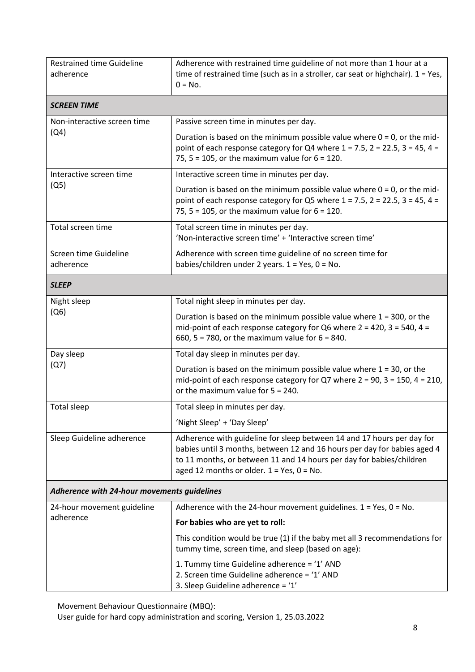| <b>Restrained time Guideline</b><br>adherence | Adherence with restrained time guideline of not more than 1 hour at a<br>time of restrained time (such as in a stroller, car seat or highchair). $1 = Yes$ ,<br>$0 = No.$                                                                                                     |  |
|-----------------------------------------------|-------------------------------------------------------------------------------------------------------------------------------------------------------------------------------------------------------------------------------------------------------------------------------|--|
| <b>SCREEN TIME</b>                            |                                                                                                                                                                                                                                                                               |  |
| Non-interactive screen time<br>(Q4)           | Passive screen time in minutes per day.                                                                                                                                                                                                                                       |  |
|                                               | Duration is based on the minimum possible value where $0 = 0$ , or the mid-<br>point of each response category for Q4 where $1 = 7.5$ , $2 = 22.5$ , $3 = 45$ , $4 = 22.5$<br>75, 5 = 105, or the maximum value for $6 = 120$ .                                               |  |
| Interactive screen time                       | Interactive screen time in minutes per day.                                                                                                                                                                                                                                   |  |
| (Q5)                                          | Duration is based on the minimum possible value where $0 = 0$ , or the mid-<br>point of each response category for Q5 where $1 = 7.5$ , $2 = 22.5$ , $3 = 45$ , $4 = 22.5$<br>75, 5 = 105, or the maximum value for $6 = 120$ .                                               |  |
| Total screen time                             | Total screen time in minutes per day.<br>'Non-interactive screen time' + 'Interactive screen time'                                                                                                                                                                            |  |
| Screen time Guideline<br>adherence            | Adherence with screen time guideline of no screen time for                                                                                                                                                                                                                    |  |
|                                               | babies/children under 2 years. $1 = Yes$ , $0 = No$ .                                                                                                                                                                                                                         |  |
| <b>SLEEP</b>                                  |                                                                                                                                                                                                                                                                               |  |
| Night sleep<br>(Q6)                           | Total night sleep in minutes per day.                                                                                                                                                                                                                                         |  |
|                                               | Duration is based on the minimum possible value where $1 = 300$ , or the<br>mid-point of each response category for Q6 where $2 = 420$ , $3 = 540$ , $4 = 120$<br>660, 5 = 780, or the maximum value for $6 = 840$ .                                                          |  |
| Day sleep                                     | Total day sleep in minutes per day.                                                                                                                                                                                                                                           |  |
| (Q7)                                          | Duration is based on the minimum possible value where $1 = 30$ , or the<br>mid-point of each response category for Q7 where $2 = 90$ , $3 = 150$ , $4 = 210$ ,<br>or the maximum value for $5 = 240$ .                                                                        |  |
| Total sleep                                   | Total sleep in minutes per day.                                                                                                                                                                                                                                               |  |
|                                               | 'Night Sleep' + 'Day Sleep'                                                                                                                                                                                                                                                   |  |
| Sleep Guideline adherence                     | Adherence with guideline for sleep between 14 and 17 hours per day for<br>babies until 3 months, between 12 and 16 hours per day for babies aged 4<br>to 11 months, or between 11 and 14 hours per day for babies/children<br>aged 12 months or older. $1 = Yes$ , $0 = No$ . |  |
| Adherence with 24-hour movements guidelines   |                                                                                                                                                                                                                                                                               |  |
| 24-hour movement guideline                    | Adherence with the 24-hour movement guidelines. $1 = Yes$ , $0 = No$ .                                                                                                                                                                                                        |  |
| adherence                                     | For babies who are yet to roll:                                                                                                                                                                                                                                               |  |
|                                               | This condition would be true (1) if the baby met all 3 recommendations for<br>tummy time, screen time, and sleep (based on age):                                                                                                                                              |  |
|                                               | 1. Tummy time Guideline adherence = '1' AND<br>2. Screen time Guideline adherence = '1' AND<br>3. Sleep Guideline adherence = '1'                                                                                                                                             |  |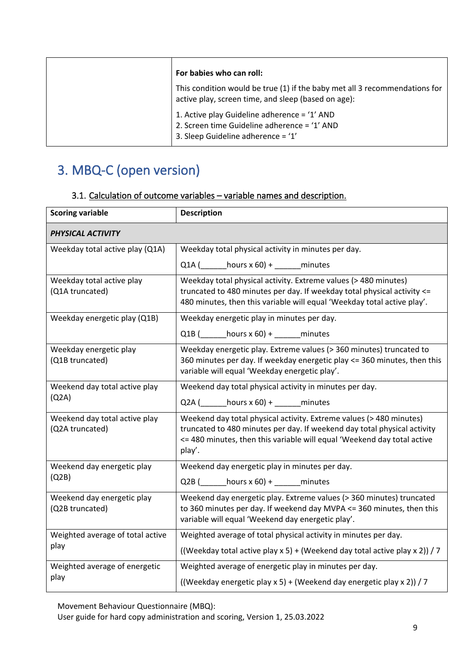| For babies who can roll:                                                                                                           |
|------------------------------------------------------------------------------------------------------------------------------------|
| This condition would be true (1) if the baby met all 3 recommendations for<br>active play, screen time, and sleep (based on age):  |
| 1. Active play Guideline adherence = '1' AND<br>2. Screen time Guideline adherence = '1' AND<br>3. Sleep Guideline adherence = '1' |

## 3. MBQ-C (open version)

| <b>Scoring variable</b>                          | <b>Description</b>                                                                                                                                                                                                                   |
|--------------------------------------------------|--------------------------------------------------------------------------------------------------------------------------------------------------------------------------------------------------------------------------------------|
| PHYSICAL ACTIVITY                                |                                                                                                                                                                                                                                      |
| Weekday total active play (Q1A)                  | Weekday total physical activity in minutes per day.                                                                                                                                                                                  |
|                                                  | $Q1A$ (hours x 60) + minutes                                                                                                                                                                                                         |
| Weekday total active play<br>(Q1A truncated)     | Weekday total physical activity. Extreme values (> 480 minutes)<br>truncated to 480 minutes per day. If weekday total physical activity <=<br>480 minutes, then this variable will equal 'Weekday total active play'.                |
| Weekday energetic play (Q1B)                     | Weekday energetic play in minutes per day.                                                                                                                                                                                           |
|                                                  | Q1B $($ hours $x$ 60) + ______ minutes                                                                                                                                                                                               |
| Weekday energetic play<br>(Q1B truncated)        | Weekday energetic play. Extreme values (> 360 minutes) truncated to<br>360 minutes per day. If weekday energetic play <= 360 minutes, then this<br>variable will equal 'Weekday energetic play'.                                     |
| Weekend day total active play                    | Weekend day total physical activity in minutes per day.                                                                                                                                                                              |
| (Q2A)                                            | $Q2A$ ( _______ hours x 60) + ______ minutes                                                                                                                                                                                         |
| Weekend day total active play<br>(Q2A truncated) | Weekend day total physical activity. Extreme values (> 480 minutes)<br>truncated to 480 minutes per day. If weekend day total physical activity<br><= 480 minutes, then this variable will equal 'Weekend day total active<br>play'. |
| Weekend day energetic play                       | Weekend day energetic play in minutes per day.                                                                                                                                                                                       |
| (Q2B)                                            | Q2B $($ hours x 60) + ______ minutes                                                                                                                                                                                                 |
| Weekend day energetic play<br>(Q2B truncated)    | Weekend day energetic play. Extreme values (> 360 minutes) truncated<br>to 360 minutes per day. If weekend day MVPA <= 360 minutes, then this<br>variable will equal 'Weekend day energetic play'.                                   |
| Weighted average of total active                 | Weighted average of total physical activity in minutes per day.                                                                                                                                                                      |
| play                                             | ((Weekday total active play x 5) + (Weekend day total active play x 2)) / 7                                                                                                                                                          |
| Weighted average of energetic                    | Weighted average of energetic play in minutes per day.                                                                                                                                                                               |
| play                                             | ((Weekday energetic play x 5) + (Weekend day energetic play x 2)) / 7                                                                                                                                                                |

### 3.1. Calculation of outcome variables – variable names and description.

Movement Behaviour Questionnaire (MBQ):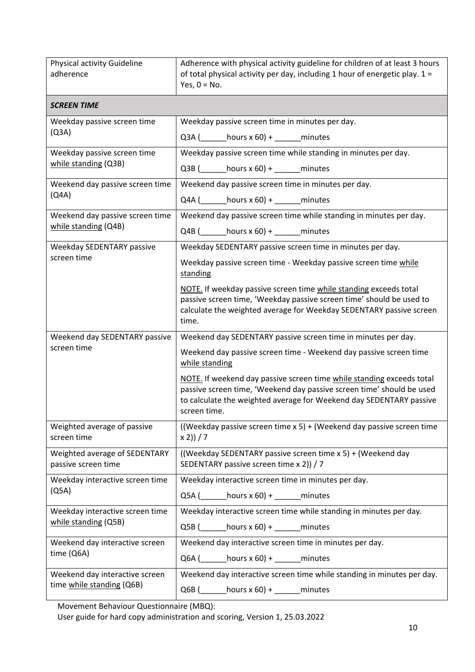| Physical activity Guideline<br>adherence                    | Adherence with physical activity guideline for children of at least 3 hours<br>of total physical activity per day, including 1 hour of energetic play. 1 =<br>Yes, $0 = No$ .                                                         |
|-------------------------------------------------------------|---------------------------------------------------------------------------------------------------------------------------------------------------------------------------------------------------------------------------------------|
| <b>SCREEN TIME</b>                                          |                                                                                                                                                                                                                                       |
| Weekday passive screen time<br>(Q3A)                        | Weekday passive screen time in minutes per day.                                                                                                                                                                                       |
|                                                             | Q3A $($ hours x 60) + ______ minutes                                                                                                                                                                                                  |
| Weekday passive screen time                                 | Weekday passive screen time while standing in minutes per day.                                                                                                                                                                        |
| while standing (Q3B)                                        | $Q3B$ (hours x 60) + minutes                                                                                                                                                                                                          |
| Weekend day passive screen time                             | Weekend day passive screen time in minutes per day.                                                                                                                                                                                   |
| (Q4A)                                                       | $Q4A$ ( $hours \times 60$ ) + minutes                                                                                                                                                                                                 |
| Weekend day passive screen time                             | Weekend day passive screen time while standing in minutes per day.                                                                                                                                                                    |
| while standing (Q4B)                                        | Q4B $\begin{pmatrix} - & \text{hours} \times 60 \end{pmatrix}$ + ________ minutes                                                                                                                                                     |
| Weekday SEDENTARY passive                                   | Weekday SEDENTARY passive screen time in minutes per day.                                                                                                                                                                             |
| screen time                                                 | Weekday passive screen time - Weekday passive screen time while<br>standing                                                                                                                                                           |
|                                                             | NOTE. If weekday passive screen time while standing exceeds total<br>passive screen time, 'Weekday passive screen time' should be used to<br>calculate the weighted average for Weekday SEDENTARY passive screen<br>time.             |
| Weekend day SEDENTARY passive                               | Weekend day SEDENTARY passive screen time in minutes per day.                                                                                                                                                                         |
| screen time                                                 | Weekend day passive screen time - Weekend day passive screen time<br>while standing                                                                                                                                                   |
|                                                             | NOTE. If weekend day passive screen time while standing exceeds total<br>passive screen time, 'Weekend day passive screen time' should be used<br>to calculate the weighted average for Weekend day SEDENTARY passive<br>screen time. |
| Weighted average of passive<br>screen time                  | ((Weekday passive screen time $x 5$ ) + (Weekend day passive screen time<br>$x 2)$ ) / 7                                                                                                                                              |
| Weighted average of SEDENTARY<br>passive screen time        | ((Weekday SEDENTARY passive screen time x 5) + (Weekend day<br>SEDENTARY passive screen time x 2)) / 7                                                                                                                                |
| Weekday interactive screen time                             | Weekday interactive screen time in minutes per day.                                                                                                                                                                                   |
| (Q5A)                                                       | $Q5A$ ( ________ hours x 60) + ________ minutes                                                                                                                                                                                       |
| Weekday interactive screen time<br>while standing (Q5B)     | Weekday interactive screen time while standing in minutes per day.                                                                                                                                                                    |
|                                                             | $Q5B$ (hours x 60) + ______ minutes                                                                                                                                                                                                   |
| Weekend day interactive screen                              | Weekend day interactive screen time in minutes per day.                                                                                                                                                                               |
| time (Q6A)                                                  | $Q6A$ ( ________ hours x 60) + ________ minutes                                                                                                                                                                                       |
| Weekend day interactive screen<br>time while standing (Q6B) | Weekend day interactive screen time while standing in minutes per day.                                                                                                                                                                |
|                                                             | $Q6B$ (hours x 60) + ______ minutes                                                                                                                                                                                                   |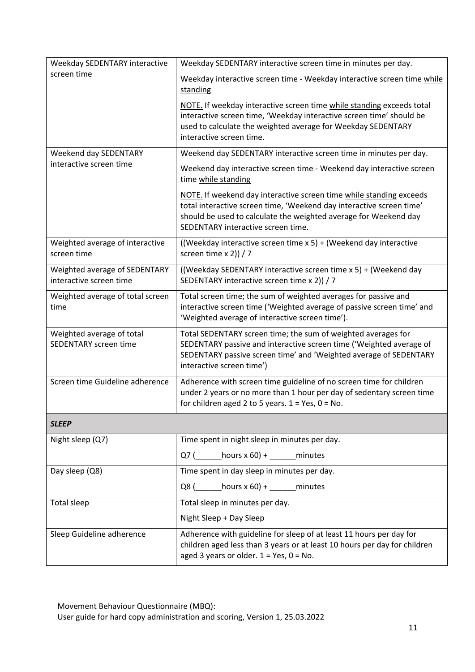| Weekday SEDENTARY interactive                            | Weekday SEDENTARY interactive screen time in minutes per day.                                                                                                                                                                                         |  |
|----------------------------------------------------------|-------------------------------------------------------------------------------------------------------------------------------------------------------------------------------------------------------------------------------------------------------|--|
| screen time                                              | Weekday interactive screen time - Weekday interactive screen time while<br>standing                                                                                                                                                                   |  |
|                                                          | NOTE. If weekday interactive screen time while standing exceeds total<br>interactive screen time, 'Weekday interactive screen time' should be<br>used to calculate the weighted average for Weekday SEDENTARY<br>interactive screen time.             |  |
| Weekend day SEDENTARY                                    | Weekend day SEDENTARY interactive screen time in minutes per day.                                                                                                                                                                                     |  |
| interactive screen time                                  | Weekend day interactive screen time - Weekend day interactive screen<br>time while standing                                                                                                                                                           |  |
|                                                          | NOTE. If weekend day interactive screen time while standing exceeds<br>total interactive screen time, 'Weekend day interactive screen time'<br>should be used to calculate the weighted average for Weekend day<br>SEDENTARY interactive screen time. |  |
| Weighted average of interactive<br>screen time           | ((Weekday interactive screen time x 5) + (Weekend day interactive<br>screen time $x 2$ ) / 7                                                                                                                                                          |  |
| Weighted average of SEDENTARY<br>interactive screen time | ((Weekday SEDENTARY interactive screen time x 5) + (Weekend day<br>SEDENTARY interactive screen time x 2)) / 7                                                                                                                                        |  |
| Weighted average of total screen<br>time                 | Total screen time; the sum of weighted averages for passive and<br>interactive screen time ('Weighted average of passive screen time' and<br>'Weighted average of interactive screen time').                                                          |  |
| Weighted average of total<br>SEDENTARY screen time       | Total SEDENTARY screen time; the sum of weighted averages for<br>SEDENTARY passive and interactive screen time ('Weighted average of<br>SEDENTARY passive screen time' and 'Weighted average of SEDENTARY<br>interactive screen time')                |  |
| Screen time Guideline adherence                          | Adherence with screen time guideline of no screen time for children<br>under 2 years or no more than 1 hour per day of sedentary screen time<br>for children aged 2 to 5 years. $1 = Yes$ , $0 = No$ .                                                |  |
| <b>SLEEP</b>                                             |                                                                                                                                                                                                                                                       |  |
| Night sleep (Q7)                                         | Time spent in night sleep in minutes per day.                                                                                                                                                                                                         |  |
|                                                          | $Q7$ (hours x 60) + minutes                                                                                                                                                                                                                           |  |
| Day sleep (Q8)                                           | Time spent in day sleep in minutes per day.                                                                                                                                                                                                           |  |
|                                                          | Q8 ( $\_\_\_$ hours x 60) + $\_\_\_\_$ minutes                                                                                                                                                                                                        |  |
| <b>Total sleep</b>                                       | Total sleep in minutes per day.                                                                                                                                                                                                                       |  |
|                                                          | Night Sleep + Day Sleep                                                                                                                                                                                                                               |  |
| Sleep Guideline adherence                                | Adherence with guideline for sleep of at least 11 hours per day for<br>children aged less than 3 years or at least 10 hours per day for children<br>aged 3 years or older. $1 = Yes$ , $0 = No$ .                                                     |  |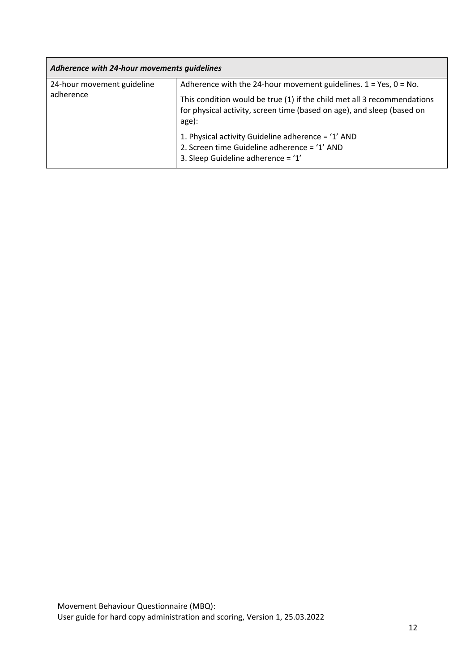| Adherence with 24-hour movements guidelines |                                                                                                                                                                                                                                  |
|---------------------------------------------|----------------------------------------------------------------------------------------------------------------------------------------------------------------------------------------------------------------------------------|
| 24-hour movement guideline<br>adherence     | Adherence with the 24-hour movement guidelines. $1 = Yes, 0 = No.$<br>This condition would be true (1) if the child met all 3 recommendations<br>for physical activity, screen time (based on age), and sleep (based on<br>age): |
|                                             | 1. Physical activity Guideline adherence = '1' AND<br>2. Screen time Guideline adherence = '1' AND<br>3. Sleep Guideline adherence = '1'                                                                                         |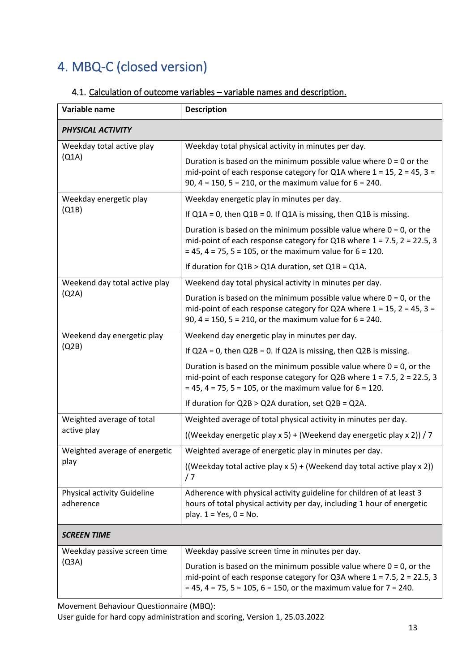## 4. MBQ-C (closed version)

### 4.1. Calculation of outcome variables – variable names and description.

| Variable name                            | <b>Description</b>                                                                                                                                                                                                             |
|------------------------------------------|--------------------------------------------------------------------------------------------------------------------------------------------------------------------------------------------------------------------------------|
| <b>PHYSICAL ACTIVITY</b>                 |                                                                                                                                                                                                                                |
| Weekday total active play                | Weekday total physical activity in minutes per day.                                                                                                                                                                            |
| (Q1A)                                    | Duration is based on the minimum possible value where $0 = 0$ or the<br>mid-point of each response category for Q1A where $1 = 15$ , $2 = 45$ , $3 = 15$<br>90, $4 = 150$ , $5 = 210$ , or the maximum value for $6 = 240$ .   |
| Weekday energetic play                   | Weekday energetic play in minutes per day.                                                                                                                                                                                     |
| (Q1B)                                    | If $Q1A = 0$ , then $Q1B = 0$ . If $Q1A$ is missing, then $Q1B$ is missing.                                                                                                                                                    |
|                                          | Duration is based on the minimum possible value where $0 = 0$ , or the<br>mid-point of each response category for Q1B where $1 = 7.5$ , $2 = 22.5$ , 3<br>$= 45, 4 = 75, 5 = 105$ , or the maximum value for $6 = 120$ .       |
|                                          | If duration for $Q1B > Q1A$ duration, set $Q1B = Q1A$ .                                                                                                                                                                        |
| Weekend day total active play            | Weekend day total physical activity in minutes per day.                                                                                                                                                                        |
| (Q2A)                                    | Duration is based on the minimum possible value where $0 = 0$ , or the<br>mid-point of each response category for Q2A where $1 = 15$ , $2 = 45$ , $3 = 15$<br>90, 4 = 150, 5 = 210, or the maximum value for $6 = 240$ .       |
| Weekend day energetic play               | Weekend day energetic play in minutes per day.                                                                                                                                                                                 |
| (Q2B)                                    | If $Q2A = 0$ , then $Q2B = 0$ . If $Q2A$ is missing, then $Q2B$ is missing.                                                                                                                                                    |
|                                          | Duration is based on the minimum possible value where $0 = 0$ , or the<br>mid-point of each response category for Q2B where $1 = 7.5$ , $2 = 22.5$ , 3<br>$= 45$ , 4 = 75, 5 = 105, or the maximum value for 6 = 120.          |
|                                          | If duration for $Q2B > Q2A$ duration, set $Q2B = Q2A$ .                                                                                                                                                                        |
| Weighted average of total                | Weighted average of total physical activity in minutes per day.                                                                                                                                                                |
| active play                              | ((Weekday energetic play x 5) + (Weekend day energetic play x 2)) / 7                                                                                                                                                          |
| Weighted average of energetic            | Weighted average of energetic play in minutes per day.                                                                                                                                                                         |
| play                                     | ((Weekday total active play $x 5$ ) + (Weekend day total active play $x 2$ ))<br>/7                                                                                                                                            |
| Physical activity Guideline<br>adherence | Adherence with physical activity guideline for children of at least 3<br>hours of total physical activity per day, including 1 hour of energetic<br>play. $1 = Yes$ , $0 = No$ .                                               |
| <b>SCREEN TIME</b>                       |                                                                                                                                                                                                                                |
| Weekday passive screen time<br>(Q3A)     | Weekday passive screen time in minutes per day.                                                                                                                                                                                |
|                                          | Duration is based on the minimum possible value where $0 = 0$ , or the<br>mid-point of each response category for Q3A where $1 = 7.5$ , $2 = 22.5$ , 3<br>$= 45$ , 4 = 75, 5 = 105, 6 = 150, or the maximum value for 7 = 240. |

Movement Behaviour Questionnaire (MBQ):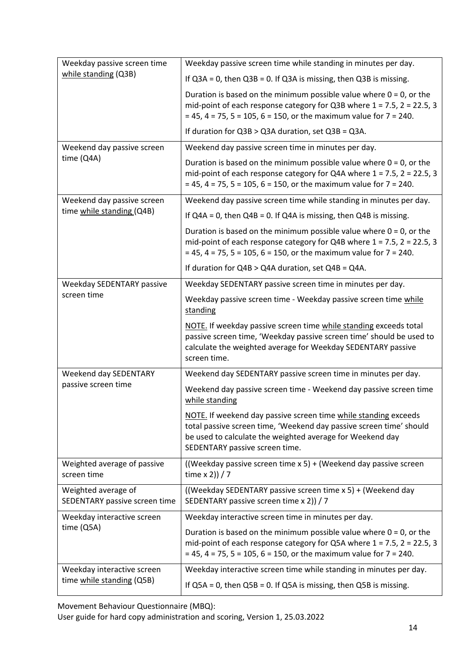| Weekday passive screen time<br>while standing (Q3B)  | Weekday passive screen time while standing in minutes per day.                                                                                                                                                                        |
|------------------------------------------------------|---------------------------------------------------------------------------------------------------------------------------------------------------------------------------------------------------------------------------------------|
|                                                      | If $Q3A = 0$ , then $Q3B = 0$ . If $Q3A$ is missing, then $Q3B$ is missing.                                                                                                                                                           |
|                                                      | Duration is based on the minimum possible value where $0 = 0$ , or the<br>mid-point of each response category for Q3B where $1 = 7.5$ , $2 = 22.5$ , 3<br>$= 45, 4 = 75, 5 = 105, 6 = 150$ , or the maximum value for $7 = 240$ .     |
|                                                      | If duration for $Q3B > Q3A$ duration, set $Q3B = Q3A$ .                                                                                                                                                                               |
| Weekend day passive screen                           | Weekend day passive screen time in minutes per day.                                                                                                                                                                                   |
| time (Q4A)                                           | Duration is based on the minimum possible value where $0 = 0$ , or the<br>mid-point of each response category for Q4A where $1 = 7.5$ , $2 = 22.5$ , 3<br>$= 45$ , 4 = 75, 5 = 105, 6 = 150, or the maximum value for 7 = 240.        |
| Weekend day passive screen                           | Weekend day passive screen time while standing in minutes per day.                                                                                                                                                                    |
| time while standing (Q4B)                            | If $Q4A = 0$ , then $Q4B = 0$ . If $Q4A$ is missing, then $Q4B$ is missing.                                                                                                                                                           |
|                                                      | Duration is based on the minimum possible value where $0 = 0$ , or the<br>mid-point of each response category for Q4B where $1 = 7.5$ , $2 = 22.5$ , 3<br>$= 45, 4 = 75, 5 = 105, 6 = 150$ , or the maximum value for $7 = 240$ .     |
|                                                      | If duration for $Q4B > Q4A$ duration, set $Q4B = Q4A$ .                                                                                                                                                                               |
| Weekday SEDENTARY passive<br>screen time             | Weekday SEDENTARY passive screen time in minutes per day.                                                                                                                                                                             |
|                                                      | Weekday passive screen time - Weekday passive screen time while<br>standing                                                                                                                                                           |
|                                                      | NOTE. If weekday passive screen time while standing exceeds total<br>passive screen time, 'Weekday passive screen time' should be used to<br>calculate the weighted average for Weekday SEDENTARY passive<br>screen time.             |
| Weekend day SEDENTARY                                | Weekend day SEDENTARY passive screen time in minutes per day.                                                                                                                                                                         |
| passive screen time                                  | Weekend day passive screen time - Weekend day passive screen time<br>while standing                                                                                                                                                   |
|                                                      | NOTE. If weekend day passive screen time while standing exceeds<br>total passive screen time, 'Weekend day passive screen time' should<br>be used to calculate the weighted average for Weekend day<br>SEDENTARY passive screen time. |
| Weighted average of passive<br>screen time           | ((Weekday passive screen time x 5) + (Weekend day passive screen<br>time $x 2$ ) / 7                                                                                                                                                  |
| Weighted average of<br>SEDENTARY passive screen time | ((Weekday SEDENTARY passive screen time x 5) + (Weekend day<br>SEDENTARY passive screen time x 2)) / 7                                                                                                                                |
| Weekday interactive screen<br>time(Q5A)              | Weekday interactive screen time in minutes per day.                                                                                                                                                                                   |
|                                                      | Duration is based on the minimum possible value where $0 = 0$ , or the<br>mid-point of each response category for Q5A where $1 = 7.5$ , $2 = 22.5$ , 3<br>$= 45$ , 4 = 75, 5 = 105, 6 = 150, or the maximum value for 7 = 240.        |
| Weekday interactive screen                           | Weekday interactive screen time while standing in minutes per day.                                                                                                                                                                    |
| time while standing (Q5B)                            | If $Q5A = 0$ , then $Q5B = 0$ . If $Q5A$ is missing, then $Q5B$ is missing.                                                                                                                                                           |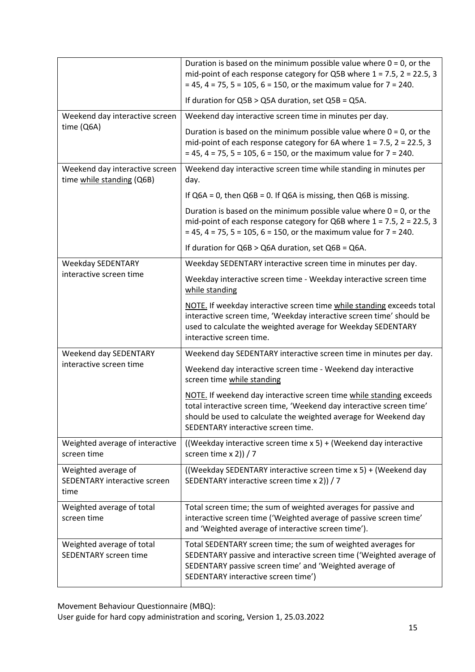|                                                             | Duration is based on the minimum possible value where $0 = 0$ , or the<br>mid-point of each response category for Q5B where $1 = 7.5$ , $2 = 22.5$ , 3<br>$= 45, 4 = 75, 5 = 105, 6 = 150$ , or the maximum value for $7 = 240$ .                     |
|-------------------------------------------------------------|-------------------------------------------------------------------------------------------------------------------------------------------------------------------------------------------------------------------------------------------------------|
|                                                             | If duration for Q5B > Q5A duration, set Q5B = Q5A.                                                                                                                                                                                                    |
| Weekend day interactive screen                              | Weekend day interactive screen time in minutes per day.                                                                                                                                                                                               |
| time (Q6A)                                                  | Duration is based on the minimum possible value where $0 = 0$ , or the<br>mid-point of each response category for 6A where $1 = 7.5$ , $2 = 22.5$ , 3<br>$= 45$ , 4 = 75, 5 = 105, 6 = 150, or the maximum value for 7 = 240.                         |
| Weekend day interactive screen<br>time while standing (Q6B) | Weekend day interactive screen time while standing in minutes per<br>day.                                                                                                                                                                             |
|                                                             | If $Q6A = 0$ , then $Q6B = 0$ . If $Q6A$ is missing, then $Q6B$ is missing.                                                                                                                                                                           |
|                                                             | Duration is based on the minimum possible value where $0 = 0$ , or the<br>mid-point of each response category for Q6B where $1 = 7.5$ , $2 = 22.5$ , 3<br>$= 45, 4 = 75, 5 = 105, 6 = 150$ , or the maximum value for $7 = 240$ .                     |
|                                                             | If duration for $Q6B > Q6A$ duration, set $Q6B = Q6A$ .                                                                                                                                                                                               |
| <b>Weekday SEDENTARY</b>                                    | Weekday SEDENTARY interactive screen time in minutes per day.                                                                                                                                                                                         |
| interactive screen time                                     | Weekday interactive screen time - Weekday interactive screen time<br>while standing                                                                                                                                                                   |
|                                                             | NOTE. If weekday interactive screen time while standing exceeds total<br>interactive screen time, 'Weekday interactive screen time' should be<br>used to calculate the weighted average for Weekday SEDENTARY<br>interactive screen time.             |
| Weekend day SEDENTARY                                       | Weekend day SEDENTARY interactive screen time in minutes per day.                                                                                                                                                                                     |
| interactive screen time                                     | Weekend day interactive screen time - Weekend day interactive<br>screen time while standing                                                                                                                                                           |
|                                                             | NOTE. If weekend day interactive screen time while standing exceeds<br>total interactive screen time, 'Weekend day interactive screen time'<br>should be used to calculate the weighted average for Weekend day<br>SEDENTARY interactive screen time. |
| Weighted average of interactive<br>screen time              | ((Weekday interactive screen time x 5) + (Weekend day interactive<br>screen time $x 2$ ) / 7                                                                                                                                                          |
| Weighted average of<br>SEDENTARY interactive screen<br>time | ((Weekday SEDENTARY interactive screen time x 5) + (Weekend day<br>SEDENTARY interactive screen time x 2)) / 7                                                                                                                                        |
| Weighted average of total<br>screen time                    | Total screen time; the sum of weighted averages for passive and<br>interactive screen time ('Weighted average of passive screen time'<br>and 'Weighted average of interactive screen time').                                                          |
| Weighted average of total<br>SEDENTARY screen time          | Total SEDENTARY screen time; the sum of weighted averages for<br>SEDENTARY passive and interactive screen time ('Weighted average of<br>SEDENTARY passive screen time' and 'Weighted average of<br>SEDENTARY interactive screen time')                |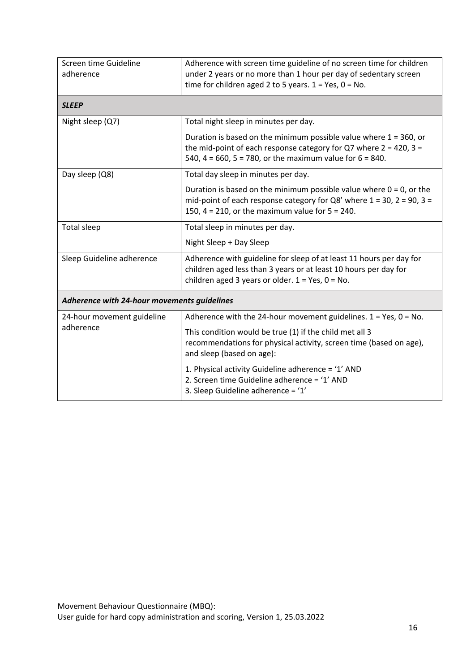| Screen time Guideline<br>adherence          | Adherence with screen time guideline of no screen time for children<br>under 2 years or no more than 1 hour per day of sedentary screen<br>time for children aged 2 to 5 years. $1 = Yes$ , $0 = No$ .              |
|---------------------------------------------|---------------------------------------------------------------------------------------------------------------------------------------------------------------------------------------------------------------------|
| <b>SLEEP</b>                                |                                                                                                                                                                                                                     |
| Night sleep (Q7)                            | Total night sleep in minutes per day.                                                                                                                                                                               |
|                                             | Duration is based on the minimum possible value where $1 = 360$ , or<br>the mid-point of each response category for Q7 where $2 = 420$ , $3 =$<br>540, 4 = 660, 5 = 780, or the maximum value for $6 = 840$ .       |
| Day sleep (Q8)                              | Total day sleep in minutes per day.                                                                                                                                                                                 |
|                                             | Duration is based on the minimum possible value where $0 = 0$ , or the<br>mid-point of each response category for Q8' where $1 = 30$ , $2 = 90$ , $3 = 10$<br>150, $4 = 210$ , or the maximum value for $5 = 240$ . |
| <b>Total sleep</b>                          | Total sleep in minutes per day.                                                                                                                                                                                     |
|                                             | Night Sleep + Day Sleep                                                                                                                                                                                             |
| Sleep Guideline adherence                   | Adherence with guideline for sleep of at least 11 hours per day for<br>children aged less than 3 years or at least 10 hours per day for<br>children aged 3 years or older. $1 = Yes$ , $0 = No$ .                   |
| Adherence with 24-hour movements guidelines |                                                                                                                                                                                                                     |
| 24-hour movement guideline<br>adherence     | Adherence with the 24-hour movement guidelines. $1 = Yes$ , $0 = No$ .                                                                                                                                              |
|                                             | This condition would be true (1) if the child met all 3<br>recommendations for physical activity, screen time (based on age),<br>and sleep (based on age):                                                          |
|                                             | 1. Physical activity Guideline adherence = '1' AND<br>2. Screen time Guideline adherence = '1' AND<br>3. Sleep Guideline adherence = '1'                                                                            |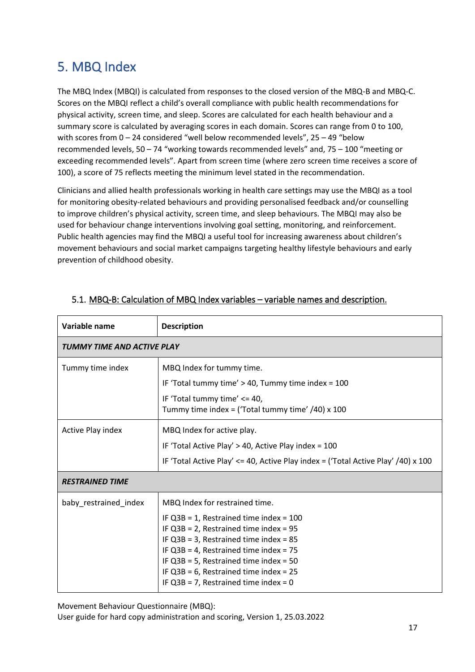## 5. MBQ Index

The MBQ Index (MBQI) is calculated from responses to the closed version of the MBQ-B and MBQ-C. Scores on the MBQI reflect a child's overall compliance with public health recommendations for physical activity, screen time, and sleep. Scores are calculated for each health behaviour and a summary score is calculated by averaging scores in each domain. Scores can range from 0 to 100, with scores from 0 – 24 considered "well below recommended levels", 25 – 49 "below recommended levels, 50 – 74 "working towards recommended levels" and, 75 – 100 "meeting or exceeding recommended levels". Apart from screen time (where zero screen time receives a score of 100), a score of 75 reflects meeting the minimum level stated in the recommendation.

Clinicians and allied health professionals working in health care settings may use the MBQI as a tool for monitoring obesity-related behaviours and providing personalised feedback and/or counselling to improve children's physical activity, screen time, and sleep behaviours. The MBQI may also be used for behaviour change interventions involving goal setting, monitoring, and reinforcement. Public health agencies may find the MBQI a useful tool for increasing awareness about children's movement behaviours and social market campaigns targeting healthy lifestyle behaviours and early prevention of childhood obesity.

| Variable name              | <b>Description</b>                                                                                                                                                                                                                                                                                                      |
|----------------------------|-------------------------------------------------------------------------------------------------------------------------------------------------------------------------------------------------------------------------------------------------------------------------------------------------------------------------|
| TUMMY TIME AND ACTIVE PLAY |                                                                                                                                                                                                                                                                                                                         |
| Tummy time index           | MBQ Index for tummy time.                                                                                                                                                                                                                                                                                               |
|                            | IF 'Total tummy time' > 40, Tummy time index = 100                                                                                                                                                                                                                                                                      |
|                            | IF 'Total tummy time' <= 40,<br>Tummy time index = ('Total tummy time' $/40$ ) x 100                                                                                                                                                                                                                                    |
| Active Play index          | MBQ Index for active play.                                                                                                                                                                                                                                                                                              |
|                            | IF 'Total Active Play' > 40, Active Play index = 100                                                                                                                                                                                                                                                                    |
|                            | IF 'Total Active Play' $\leq$ 40, Active Play index = ('Total Active Play' /40) x 100                                                                                                                                                                                                                                   |
| <b>RESTRAINED TIME</b>     |                                                                                                                                                                                                                                                                                                                         |
| baby_restrained_index      | MBQ Index for restrained time.                                                                                                                                                                                                                                                                                          |
|                            | IF $Q3B = 1$ , Restrained time index = 100<br>IF $Q3B = 2$ , Restrained time index = 95<br>IF $Q3B = 3$ , Restrained time index = 85<br>IF $Q3B = 4$ , Restrained time index = 75<br>IF $Q3B = 5$ , Restrained time index = 50<br>IF $Q3B = 6$ , Restrained time index = 25<br>IF $Q3B = 7$ , Restrained time index = 0 |

### 5.1. MBQ-B: Calculation of MBQ Index variables – variable names and description.

Movement Behaviour Questionnaire (MBQ):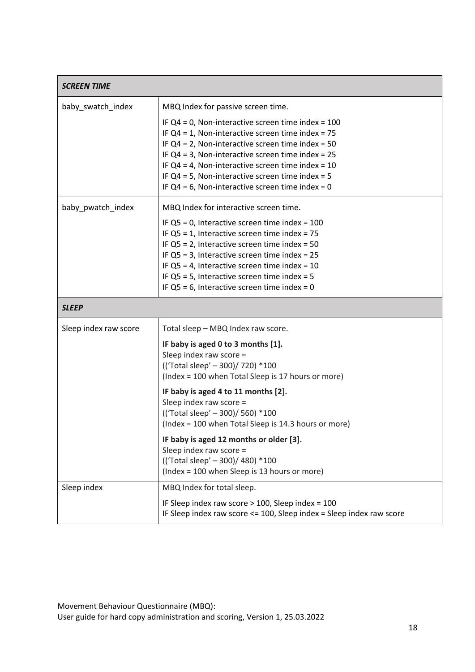| <b>SCREEN TIME</b>    |                                                                                                                                                                                                                                                                                                                                                                                                     |
|-----------------------|-----------------------------------------------------------------------------------------------------------------------------------------------------------------------------------------------------------------------------------------------------------------------------------------------------------------------------------------------------------------------------------------------------|
| baby_swatch_index     | MBQ Index for passive screen time.                                                                                                                                                                                                                                                                                                                                                                  |
|                       | IF $Q4 = 0$ , Non-interactive screen time index = 100<br>IF $Q4 = 1$ , Non-interactive screen time index = 75<br>IF $Q4 = 2$ , Non-interactive screen time index = 50<br>IF $Q4 = 3$ , Non-interactive screen time index = 25<br>IF $Q4 = 4$ , Non-interactive screen time index = 10<br>IF $Q4 = 5$ , Non-interactive screen time index = 5<br>IF $Q4 = 6$ , Non-interactive screen time index = 0 |
| baby_pwatch_index     | MBQ Index for interactive screen time.                                                                                                                                                                                                                                                                                                                                                              |
|                       | IF $Q5 = 0$ , Interactive screen time index = 100<br>IF $Q5 = 1$ , Interactive screen time index = 75<br>IF $Q5 = 2$ , Interactive screen time index = 50<br>IF $Q5 = 3$ , Interactive screen time index = 25<br>IF $Q5 = 4$ , Interactive screen time index = 10<br>IF $Q5 = 5$ , Interactive screen time index = 5<br>IF $Q5 = 6$ , Interactive screen time index = 0                             |
| <b>SLEEP</b>          |                                                                                                                                                                                                                                                                                                                                                                                                     |
| Sleep index raw score | Total sleep - MBQ Index raw score.                                                                                                                                                                                                                                                                                                                                                                  |
|                       | IF baby is aged 0 to 3 months [1].<br>Sleep index raw score =<br>(('Total sleep' - 300)/ 720) *100<br>(Index = 100 when Total Sleep is 17 hours or more)                                                                                                                                                                                                                                            |
|                       | IF baby is aged 4 to 11 months [2].<br>Sleep index raw score =<br>(('Total sleep' - 300)/ 560) *100<br>(Index = 100 when Total Sleep is 14.3 hours or more)                                                                                                                                                                                                                                         |
|                       | IF baby is aged 12 months or older [3].<br>Sleep index raw score =<br>(('Total sleep' - 300)/ 480) *100<br>(Index = 100 when Sleep is 13 hours or more)                                                                                                                                                                                                                                             |
| Sleep index           | MBQ Index for total sleep.                                                                                                                                                                                                                                                                                                                                                                          |
|                       | IF Sleep index raw score > 100, Sleep index = 100<br>IF Sleep index raw score <= 100, Sleep index = Sleep index raw score                                                                                                                                                                                                                                                                           |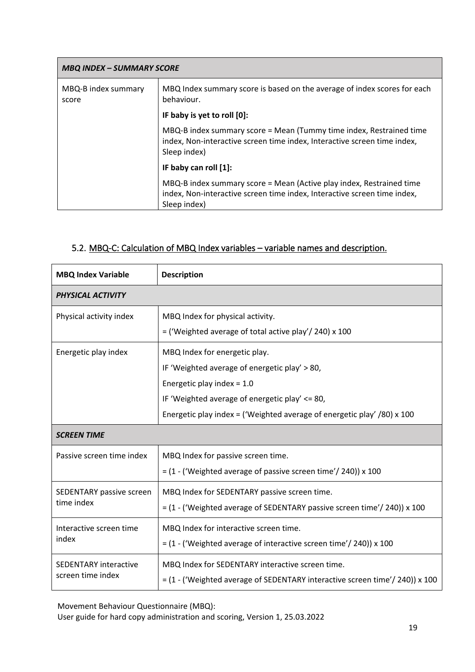| <b>MBQ INDEX - SUMMARY SCORE</b> |                                                                                                                                                                  |
|----------------------------------|------------------------------------------------------------------------------------------------------------------------------------------------------------------|
| MBQ-B index summary<br>score     | MBQ Index summary score is based on the average of index scores for each<br>behaviour.                                                                           |
|                                  | IF baby is yet to roll [0]:                                                                                                                                      |
|                                  | MBQ-B index summary score = Mean (Tummy time index, Restrained time<br>index, Non-interactive screen time index, Interactive screen time index,<br>Sleep index)  |
|                                  | IF baby can roll [1]:                                                                                                                                            |
|                                  | MBQ-B index summary score = Mean (Active play index, Restrained time<br>index, Non-interactive screen time index, Interactive screen time index,<br>Sleep index) |

### 5.2. MBQ-C: Calculation of MBQ Index variables – variable names and description.

| <b>MBQ Index Variable</b>                         | <b>Description</b>                                                                                                                                                                                                                                 |
|---------------------------------------------------|----------------------------------------------------------------------------------------------------------------------------------------------------------------------------------------------------------------------------------------------------|
| PHYSICAL ACTIVITY                                 |                                                                                                                                                                                                                                                    |
| Physical activity index                           | MBQ Index for physical activity.<br>$=$ ('Weighted average of total active play'/ 240) x 100                                                                                                                                                       |
| Energetic play index                              | MBQ Index for energetic play.<br>IF 'Weighted average of energetic play' > 80,<br>Energetic play index = $1.0$<br>IF 'Weighted average of energetic play' $\leq$ 80,<br>Energetic play index = ('Weighted average of energetic play' $/80$ ) x 100 |
| <b>SCREEN TIME</b>                                |                                                                                                                                                                                                                                                    |
| Passive screen time index                         | MBQ Index for passive screen time.<br>$=$ (1 - ('Weighted average of passive screen time'/ 240)) x 100                                                                                                                                             |
| SEDENTARY passive screen<br>time index            | MBQ Index for SEDENTARY passive screen time.<br>$=$ (1 - ('Weighted average of SEDENTARY passive screen time'/ 240)) x 100                                                                                                                         |
| Interactive screen time<br>index                  | MBQ Index for interactive screen time.<br>$=$ (1 - ('Weighted average of interactive screen time'/ 240)) x 100                                                                                                                                     |
| <b>SEDENTARY interactive</b><br>screen time index | MBQ Index for SEDENTARY interactive screen time.<br>= (1 - ('Weighted average of SEDENTARY interactive screen time'/ 240)) x 100                                                                                                                   |

Movement Behaviour Questionnaire (MBQ):